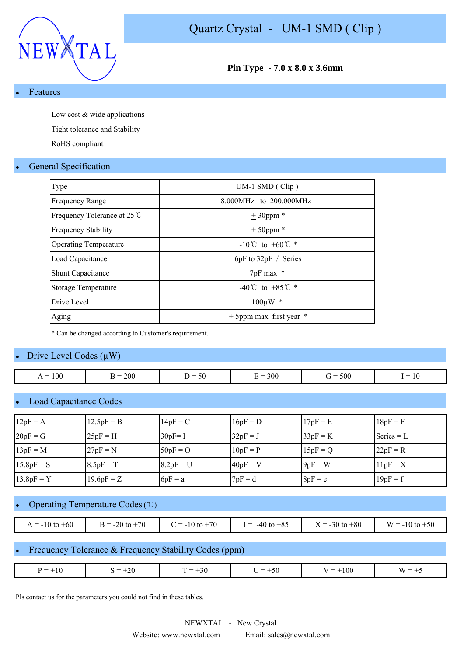



**Pin Type - 7.0 x 8.0 x 3.6mm**

#### **Features**

Low cost & wide applications

Tight tolerance and Stability

RoHS compliant

### **General Specification**

| $UM-1$ SMD (Clip)                    |
|--------------------------------------|
| 8.000MHz to 200.000MHz               |
| $± 30$ ppm *                         |
| $+50$ ppm *                          |
| $-10^{\circ}$ C to $+60^{\circ}$ C * |
| $6pF$ to $32pF /$ Series             |
| 7pF max *                            |
| -40°C to +85°C $*$                   |
| $100 \mu W$ *                        |
| $\pm$ 5ppm max first year $*$        |
|                                      |

\* Can be changed according to Customer's requirement.

#### Drive Level Codes  $(\mu W)$

| 100<br>$=$<br>$\overline{1}$ | 200<br>⊷ | $\sim$ $\sim$<br>. –<br>. .<br>- JU | 300<br>$\overline{\phantom{a}}$ | 500<br>-- | $\overline{\phantom{0}}$<br>-<br>$\overline{1}$ |
|------------------------------|----------|-------------------------------------|---------------------------------|-----------|-------------------------------------------------|

#### Load Capacitance Codes

| $12pF = A$   | $12.5pF = B$ | $14pF = C$  | $16pF = D$ | $17pF = E$ | $18pF = F$   |
|--------------|--------------|-------------|------------|------------|--------------|
| $20pF = G$   | $25pF = H$   | $30pF = I$  | $32pF = J$ | $33pF = K$ | Series $= L$ |
| $13pF = M$   | $27pF = N$   | $50pF = O$  | $10pF = P$ | $15pF = Q$ | $22pF = R$   |
| $15.8pF = S$ | $8.5pF = T$  | $8.2pF = U$ | $40pF = V$ | $9pF = W$  | $11pF = X$   |
| $13.8pF = Y$ | $19.6pF = Z$ | $6pF = a$   | $7pF = d$  | $8pF = e$  | $19pF = f$   |

#### Operating Temperature Codes (℃)

| $A = -10$ to $+60$ | to $+70$<br>$-20$<br><u>. – </u> | $\gamma = -10$ to $+70$ | $-40$ to $+85$<br>$=$ | $-30$ to $+80$<br>$X =$ . | to $+50$<br>$w =$<br>w |
|--------------------|----------------------------------|-------------------------|-----------------------|---------------------------|------------------------|

### Frequency Tolerance & Frequency Stability Codes (ppm)

| $=$<br>$-7$ | $-20$<br>$\overline{\phantom{0}}$<br>$\overline{\phantom{a}}$ | $\overline{\phantom{0}}$<br>$\overline{\phantom{0}}$<br>$-$<br>_<br>ЭU<br>— | —<br>$\triangle$ $0$<br>$\overline{\phantom{a}}$<br>$ -$ | $-10c$<br>_<br>$\mathbf{v}$<br>$\sim$ |
|-------------|---------------------------------------------------------------|-----------------------------------------------------------------------------|----------------------------------------------------------|---------------------------------------|

Pls contact us for the parameters you could not find in these tables.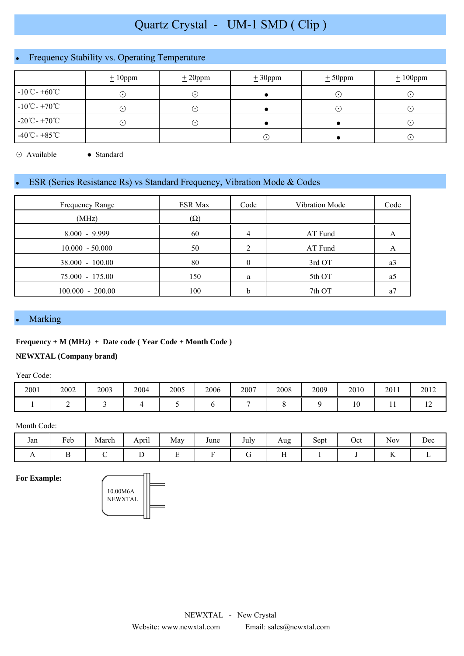# Quartz Crystal - UM-1 SMD ( Clip )

# Frequency Stability vs. Operating Temperature

|                                    | $\pm 10$ ppm | $\pm 20$ ppm | $\pm 30$ ppm | $\pm$ 50ppm |           |
|------------------------------------|--------------|--------------|--------------|-------------|-----------|
| $-10^{\circ}$ C - $+60^{\circ}$ C  | ⊙            | $(\bullet)$  |              |             | $(\cdot)$ |
| $-10^{\circ}$ C - +70 $^{\circ}$ C | ⊙            | (∙`          |              |             | $(\cdot)$ |
| $-20^{\circ}$ C - $+70^{\circ}$ C  | ⌒            | (∙`          |              |             | $(\cdot)$ |
| $-40^{\circ}$ C - $+85^{\circ}$ C  |              |              | $(\bullet)$  |             | $(\cdot)$ |

⊙ Available ● Standard

## ESR (Series Resistance Rs) vs Standard Frequency, Vibration Mode & Codes

| Frequency Range    | <b>ESR Max</b> | Code | Vibration Mode | Code |
|--------------------|----------------|------|----------------|------|
| (MHz)              | $(\Omega)$     |      |                |      |
| $8.000 - 9.999$    | 60             |      | AT Fund        | A    |
| $10.000 - 50.000$  | 50             |      | AT Fund        | A    |
| $38,000 - 100,00$  | 80             | 0    | 3rd OT         | a3   |
| 75.000 - 175.00    | 150            | a    | 5th OT         | a5   |
| $100.000 - 200.00$ | 100            | h    | 7th OT         | a.   |

#### **Marking**

#### **Frequency + M (MHz) + Date code ( Year Code + Month Code )**

#### **NEWXTAL (Company brand)**

Year Code:

| 2001 | 2002 | 2003 | 2004 | 2005 | 2006 | 2007 | 2008 | 2009 | 2010 | 2011 | 2012           |
|------|------|------|------|------|------|------|------|------|------|------|----------------|
|      |      |      |      |      |      |      |      |      | ιv   |      | $\overline{ }$ |

#### Month Code:

| Jan | <b>D</b><br>- 1<br>Feb | $\blacksquare$<br>March | $\cdot$ .<br>April | May | June | July<br>$\sim$ $\sim$ | Aug              | $\sim$<br>Sept | Oct<br>- - - | $ -$<br><b>Nov</b>                      | Dec |
|-----|------------------------|-------------------------|--------------------|-----|------|-----------------------|------------------|----------------|--------------|-----------------------------------------|-----|
|     |                        |                         | ້                  | -   |      |                       | $\mathbf{r}$<br> |                |              | $\mathbf{r}$<br>$\overline{\mathbf{r}}$ |     |

**For Example:**

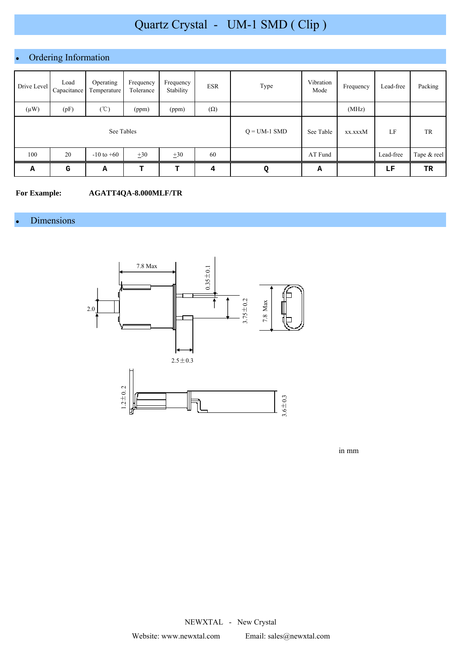# Quartz Crystal - UM-1 SMD ( Clip )

# Ordering Information

| Drive Level | Load<br>Capacitance | Operating<br>Temperature | Frequency<br>Tolerance | Frequency<br>Stability | <b>ESR</b> | Type           | Vibration<br>Mode | Frequency | Lead-free | Packing     |
|-------------|---------------------|--------------------------|------------------------|------------------------|------------|----------------|-------------------|-----------|-----------|-------------|
| $(\mu W)$   | (pF)                | (C)                      | (ppm)                  | (ppm)                  | $(\Omega)$ |                |                   | (MHz)     |           |             |
| See Tables  |                     |                          |                        |                        |            | $Q = UM-1$ SMD | See Table         | xx.xxxM   | LF        | TR          |
| 100         | 20                  | $-10$ to $+60$           | $\pm 30$               | $\pm 30$               | 60         |                | AT Fund           |           | Lead-free | Tape & reel |
| Α           | G                   | А                        | т                      | т                      | 4          | Q              | А                 |           | LF        | TR          |

**For Example: AGATT4QA-8.000MLF/TR**

### Dimensions



in mm